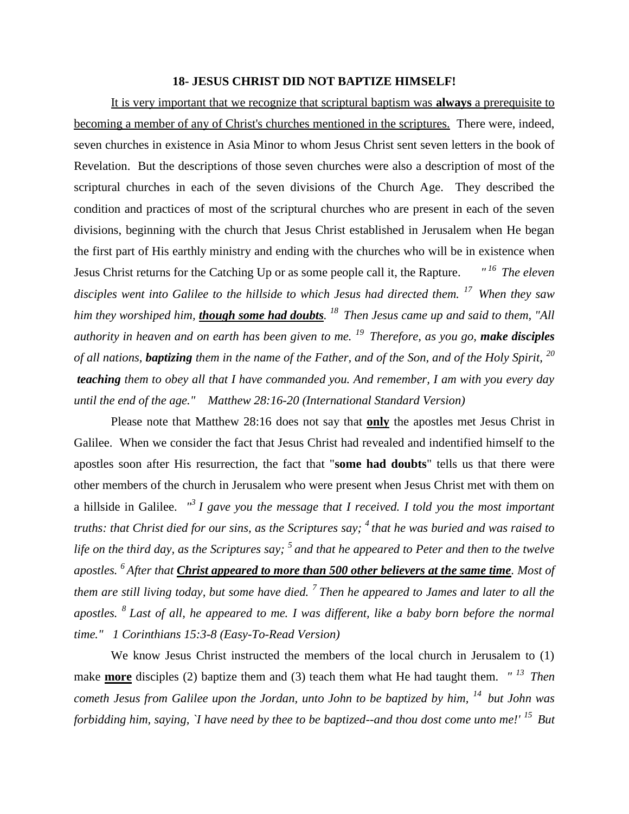## **18- JESUS CHRIST DID NOT BAPTIZE HIMSELF!**

It is very important that we recognize that scriptural baptism was **always** a prerequisite to becoming a member of any of Christ's churches mentioned in the scriptures. There were, indeed, seven churches in existence in Asia Minor to whom Jesus Christ sent seven letters in the book of Revelation. But the descriptions of those seven churches were also a description of most of the scriptural churches in each of the seven divisions of the Church Age. They described the condition and practices of most of the scriptural churches who are present in each of the seven divisions, beginning with the church that Jesus Christ established in Jerusalem when He began the first part of His earthly ministry and ending with the churches who will be in existence when Jesus Christ returns for the Catching Up or as some people call it, the Rapture. *" <sup>16</sup>The eleven disciples went into Galilee to the hillside to which Jesus had directed them. <sup>17</sup>When they saw him they worshiped him, though some had doubts. <sup>18</sup>Then Jesus came up and said to them, "All authority in heaven and on earth has been given to me. <sup>19</sup>Therefore, as you go, make disciples of all nations, baptizing them in the name of the Father, and of the Son, and of the Holy Spirit, <sup>20</sup> teaching them to obey all that I have commanded you. And remember, I am with you every day until the end of the age." Matthew 28:16-20 (International Standard Version)*

Please note that Matthew 28:16 does not say that **only** the apostles met Jesus Christ in Galilee. When we consider the fact that Jesus Christ had revealed and indentified himself to the apostles soon after His resurrection, the fact that "**some had doubts**" tells us that there were other members of the church in Jerusalem who were present when Jesus Christ met with them on a hillside in Galilee. *" <sup>3</sup>I gave you the message that I received. I told you the most important truths: that Christ died for our sins, as the Scriptures say; <sup>4</sup>that he was buried and was raised to life on the third day, as the Scriptures say; <sup>5</sup>and that he appeared to Peter and then to the twelve apostles. <sup>6</sup>After that Christ appeared to more than 500 other believers at the same time. Most of them are still living today, but some have died. <sup>7</sup>Then he appeared to James and later to all the apostles. <sup>8</sup>Last of all, he appeared to me. I was different, like a baby born before the normal time." 1 Corinthians 15:3-8 (Easy-To-Read Version)*

We know Jesus Christ instructed the members of the local church in Jerusalem to (1) make **more** disciples (2) baptize them and (3) teach them what He had taught them. *" <sup>13</sup>Then cometh Jesus from Galilee upon the Jordan, unto John to be baptized by him, <sup>14</sup>but John was forbidding him, saying, `I have need by thee to be baptized--and thou dost come unto me!' <sup>15</sup>But*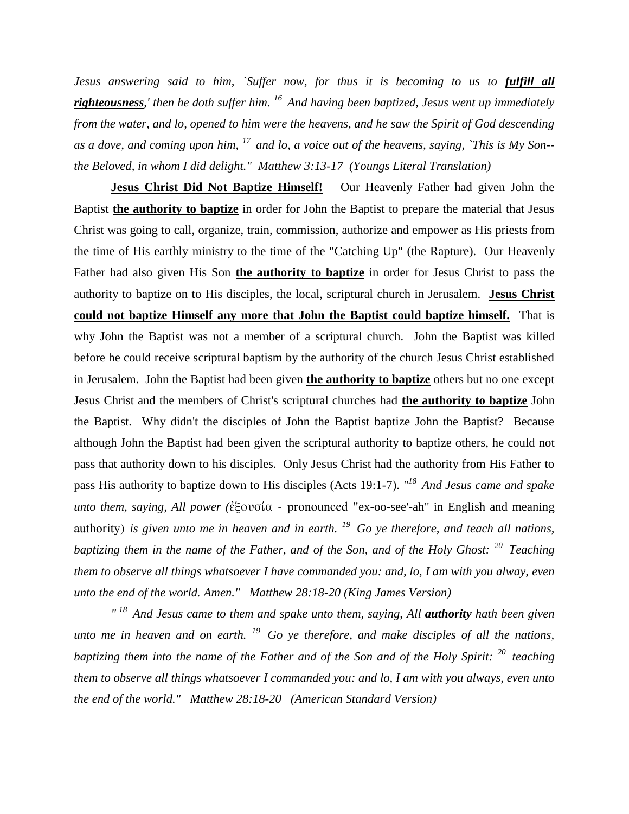*Jesus answering said to him, `Suffer now, for thus it is becoming to us to fulfill all righteousness,' then he doth suffer him. <sup>16</sup>And having been baptized, Jesus went up immediately from the water, and lo, opened to him were the heavens, and he saw the Spirit of God descending as a dove, and coming upon him, <sup>17</sup>and lo, a voice out of the heavens, saying, `This is My Son- the Beloved, in whom I did delight." Matthew 3:13-17 (Youngs Literal Translation)*

**Jesus Christ Did Not Baptize Himself!** Our Heavenly Father had given John the Baptist **the authority to baptize** in order for John the Baptist to prepare the material that Jesus Christ was going to call, organize, train, commission, authorize and empower as His priests from the time of His earthly ministry to the time of the "Catching Up" (the Rapture). Our Heavenly Father had also given His Son **the authority to baptize** in order for Jesus Christ to pass the authority to baptize on to His disciples, the local, scriptural church in Jerusalem. **Jesus Christ could not baptize Himself any more that John the Baptist could baptize himself.** That is why John the Baptist was not a member of a scriptural church. John the Baptist was killed before he could receive scriptural baptism by the authority of the church Jesus Christ established in Jerusalem. John the Baptist had been given **the authority to baptize** others but no one except Jesus Christ and the members of Christ's scriptural churches had **the authority to baptize** John the Baptist. Why didn't the disciples of John the Baptist baptize John the Baptist? Because although John the Baptist had been given the scriptural authority to baptize others, he could not pass that authority down to his disciples. Only Jesus Christ had the authority from His Father to pass His authority to baptize down to His disciples (Acts 19:1-7). *" <sup>18</sup>And Jesus came and spake unto them, saying, All power (*ἐξουσία - pronounced "ex-oo-see'-ah" in English and meaning authority) *is given unto me in heaven and in earth. <sup>19</sup>Go ye therefore, and teach all nations, baptizing them in the name of the Father, and of the Son, and of the Holy Ghost: <sup>20</sup>Teaching them to observe all things whatsoever I have commanded you: and, lo, I am with you alway, even unto the end of the world. Amen." Matthew 28:18-20 (King James Version)* 

<sup>" 18</sup> And Jesus came to them and spake unto them, saying, All **authority** hath been given *unto me in heaven and on earth. <sup>19</sup>Go ye therefore, and make disciples of all the nations, baptizing them into the name of the Father and of the Son and of the Holy Spirit: <sup>20</sup>teaching them to observe all things whatsoever I commanded you: and lo, I am with you always, even unto the end of the world." Matthew 28:18-20 (American Standard Version)*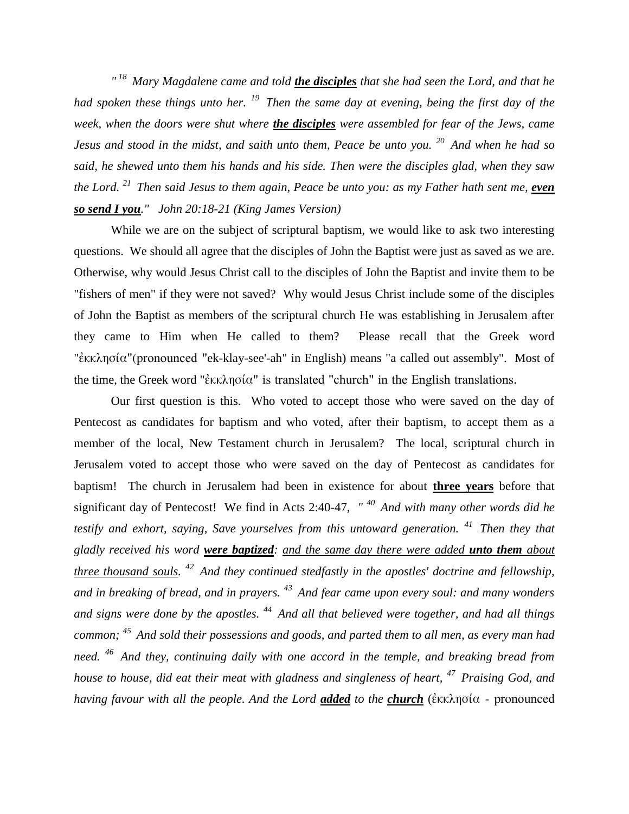*" <sup>18</sup>Mary Magdalene came and told the disciples that she had seen the Lord, and that he had spoken these things unto her. <sup>19</sup>Then the same day at evening, being the first day of the week, when the doors were shut where the disciples were assembled for fear of the Jews, came Jesus and stood in the midst, and saith unto them, Peace be unto you. <sup>20</sup>And when he had so said, he shewed unto them his hands and his side. Then were the disciples glad, when they saw the Lord. <sup>21</sup>Then said Jesus to them again, Peace be unto you: as my Father hath sent me, even so send I you." John 20:18-21 (King James Version)* 

While we are on the subject of scriptural baptism, we would like to ask two interesting questions. We should all agree that the disciples of John the Baptist were just as saved as we are. Otherwise, why would Jesus Christ call to the disciples of John the Baptist and invite them to be "fishers of men" if they were not saved? Why would Jesus Christ include some of the disciples of John the Baptist as members of the scriptural church He was establishing in Jerusalem after they came to Him when He called to them? Please recall that the Greek word "ἐκκλησία"(pronounced "ek-klay-see'-ah" in English) means "a called out assembly". Most of the time, the Greek word "ἐκκλησία" is translated "church" in the English translations.

Our first question is this. Who voted to accept those who were saved on the day of Pentecost as candidates for baptism and who voted, after their baptism, to accept them as a member of the local, New Testament church in Jerusalem? The local, scriptural church in Jerusalem voted to accept those who were saved on the day of Pentecost as candidates for baptism! The church in Jerusalem had been in existence for about **three years** before that significant day of Pentecost! We find in Acts 2:40-47, *" <sup>40</sup>And with many other words did he testify and exhort, saying, Save yourselves from this untoward generation. <sup>41</sup>Then they that gladly received his word were baptized: and the same day there were added unto them about three thousand souls. <sup>42</sup>And they continued stedfastly in the apostles' doctrine and fellowship, and in breaking of bread, and in prayers. <sup>43</sup>And fear came upon every soul: and many wonders and signs were done by the apostles. <sup>44</sup>And all that believed were together, and had all things common; <sup>45</sup>And sold their possessions and goods, and parted them to all men, as every man had need. <sup>46</sup>And they, continuing daily with one accord in the temple, and breaking bread from house to house, did eat their meat with gladness and singleness of heart, <sup>47</sup>Praising God, and having favour with all the people. And the Lord added to the church* (ἐκκλησία - pronounced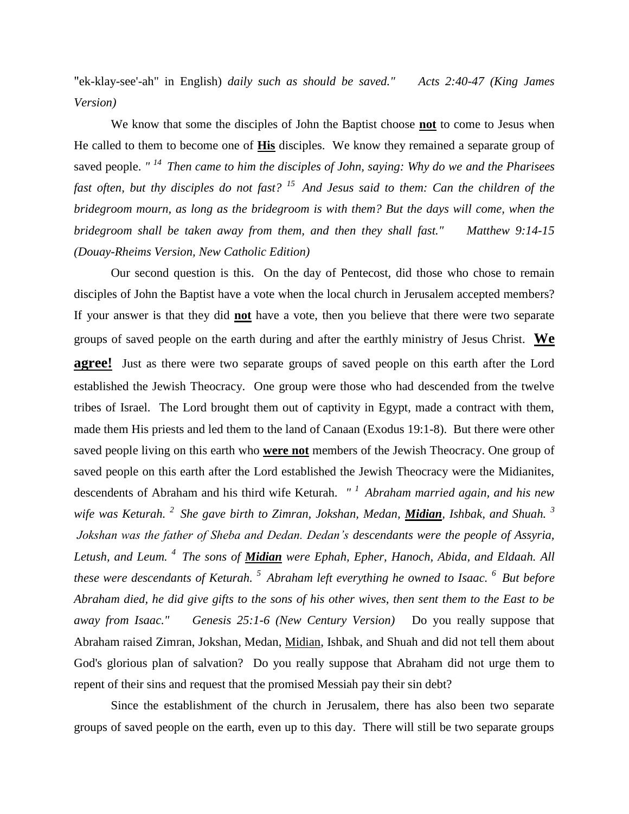"ek-klay-see'-ah" in English) *daily such as should be saved." Acts 2:40-47 (King James Version)* 

We know that some the disciples of John the Baptist choose **not** to come to Jesus when He called to them to become one of **His** disciples. We know they remained a separate group of saved people. *" <sup>14</sup>Then came to him the disciples of John, saying: Why do we and the Pharisees fast often, but thy disciples do not fast? <sup>15</sup>And Jesus said to them: Can the children of the bridegroom mourn, as long as the bridegroom is with them? But the days will come, when the bridegroom shall be taken away from them, and then they shall fast." Matthew 9:14-15 (Douay-Rheims Version, New Catholic Edition)*

Our second question is this. On the day of Pentecost, did those who chose to remain disciples of John the Baptist have a vote when the local church in Jerusalem accepted members? If your answer is that they did **not** have a vote, then you believe that there were two separate groups of saved people on the earth during and after the earthly ministry of Jesus Christ. **We agree!** Just as there were two separate groups of saved people on this earth after the Lord established the Jewish Theocracy. One group were those who had descended from the twelve tribes of Israel. The Lord brought them out of captivity in Egypt, made a contract with them, made them His priests and led them to the land of Canaan (Exodus 19:1-8). But there were other saved people living on this earth who **were not** members of the Jewish Theocracy. One group of saved people on this earth after the Lord established the Jewish Theocracy were the Midianites, descendents of Abraham and his third wife Keturah. *" <sup>1</sup>Abraham married again, and his new wife was Keturah. <sup>2</sup>She gave birth to Zimran, Jokshan, Medan, Midian, Ishbak, and Shuah. <sup>3</sup> Jokshan was the father of Sheba and Dedan. Dedan's descendants were the people of Assyria, Letush, and Leum. <sup>4</sup>The sons of Midian were Ephah, Epher, Hanoch, Abida, and Eldaah. All these were descendants of Keturah. <sup>5</sup>Abraham left everything he owned to Isaac. <sup>6</sup>But before Abraham died, he did give gifts to the sons of his other wives, then sent them to the East to be away from Isaac." Genesis 25:1-6 (New Century Version)* Do you really suppose that Abraham raised Zimran, Jokshan, Medan, Midian, Ishbak, and Shuah and did not tell them about God's glorious plan of salvation? Do you really suppose that Abraham did not urge them to repent of their sins and request that the promised Messiah pay their sin debt?

Since the establishment of the church in Jerusalem, there has also been two separate groups of saved people on the earth, even up to this day. There will still be two separate groups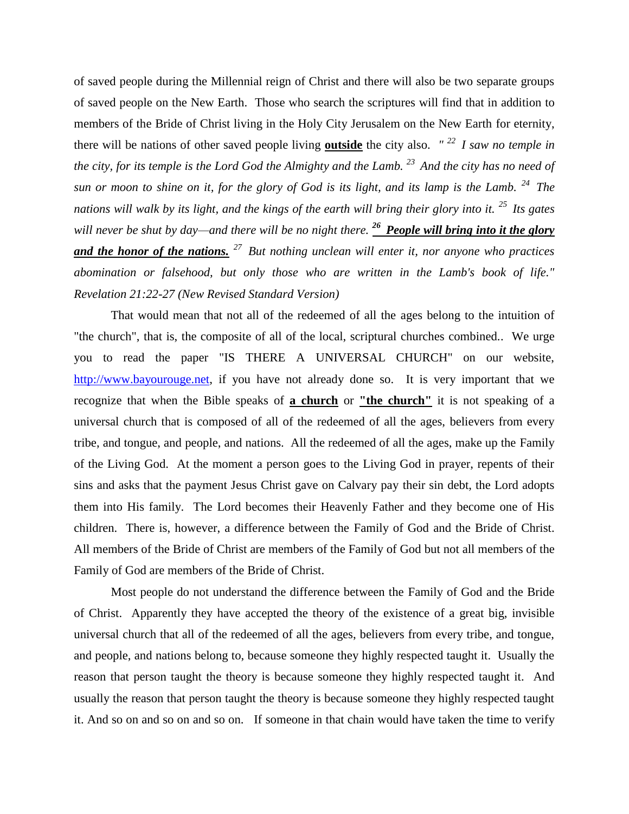of saved people during the Millennial reign of Christ and there will also be two separate groups of saved people on the New Earth. Those who search the scriptures will find that in addition to members of the Bride of Christ living in the Holy City Jerusalem on the New Earth for eternity, there will be nations of other saved people living **outside** the city also. *" <sup>22</sup>I saw no temple in the city, for its temple is the Lord God the Almighty and the Lamb. <sup>23</sup>And the city has no need of sun or moon to shine on it, for the glory of God is its light, and its lamp is the Lamb. <sup>24</sup>The nations will walk by its light, and the kings of the earth will bring their glory into it. <sup>25</sup>Its gates will never be shut by day—and there will be no night there. <sup>26</sup>People will bring into it the glory and the honor of the nations. <sup>27</sup>But nothing unclean will enter it, nor anyone who practices abomination or falsehood, but only those who are written in the Lamb's book of life." Revelation 21:22-27 (New Revised Standard Version)*

That would mean that not all of the redeemed of all the ages belong to the intuition of "the church", that is, the composite of all of the local, scriptural churches combined.. We urge you to read the paper "IS THERE A UNIVERSAL CHURCH" on our website, [http://www.bayourouge.net,](http://www.bayourouge.net/) if you have not already done so. It is very important that we recognize that when the Bible speaks of **a church** or **"the church"** it is not speaking of a universal church that is composed of all of the redeemed of all the ages, believers from every tribe, and tongue, and people, and nations. All the redeemed of all the ages, make up the Family of the Living God. At the moment a person goes to the Living God in prayer, repents of their sins and asks that the payment Jesus Christ gave on Calvary pay their sin debt, the Lord adopts them into His family. The Lord becomes their Heavenly Father and they become one of His children. There is, however, a difference between the Family of God and the Bride of Christ. All members of the Bride of Christ are members of the Family of God but not all members of the Family of God are members of the Bride of Christ.

Most people do not understand the difference between the Family of God and the Bride of Christ. Apparently they have accepted the theory of the existence of a great big, invisible universal church that all of the redeemed of all the ages, believers from every tribe, and tongue, and people, and nations belong to, because someone they highly respected taught it. Usually the reason that person taught the theory is because someone they highly respected taught it. And usually the reason that person taught the theory is because someone they highly respected taught it. And so on and so on and so on. If someone in that chain would have taken the time to verify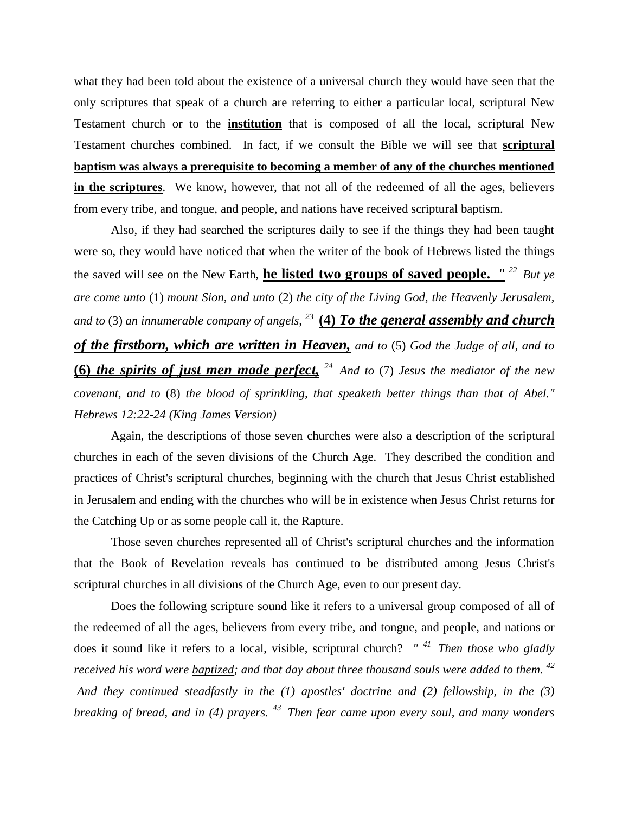what they had been told about the existence of a universal church they would have seen that the only scriptures that speak of a church are referring to either a particular local, scriptural New Testament church or to the **institution** that is composed of all the local, scriptural New Testament churches combined. In fact, if we consult the Bible we will see that **scriptural baptism was always a prerequisite to becoming a member of any of the churches mentioned in the scriptures**. We know, however, that not all of the redeemed of all the ages, believers from every tribe, and tongue, and people, and nations have received scriptural baptism.

Also, if they had searched the scriptures daily to see if the things they had been taught were so, they would have noticed that when the writer of the book of Hebrews listed the things the saved will see on the New Earth, **he listed two groups of saved people.** " *<sup>22</sup>But ye are come unto* (1) *mount Sion, and unto* (2) *the city of the Living God, the Heavenly Jerusalem, and to* (3) *an innumerable company of angels, <sup>23</sup>***(4)** *To the general assembly and church of the firstborn, which are written in Heaven, and to* (5) *God the Judge of all, and to*  **(6)** *the spirits of just men made perfect, <sup>24</sup>And to* (7) *Jesus the mediator of the new covenant, and to* (8) *the blood of sprinkling, that speaketh better things than that of Abel." Hebrews 12:22-24 (King James Version)* 

Again, the descriptions of those seven churches were also a description of the scriptural churches in each of the seven divisions of the Church Age. They described the condition and practices of Christ's scriptural churches, beginning with the church that Jesus Christ established in Jerusalem and ending with the churches who will be in existence when Jesus Christ returns for the Catching Up or as some people call it, the Rapture.

Those seven churches represented all of Christ's scriptural churches and the information that the Book of Revelation reveals has continued to be distributed among Jesus Christ's scriptural churches in all divisions of the Church Age, even to our present day.

Does the following scripture sound like it refers to a universal group composed of all of the redeemed of all the ages, believers from every tribe, and tongue, and people, and nations or does it sound like it refers to a local, visible, scriptural church? *" <sup>41</sup>Then those who gladly received his word were baptized; and that day about three thousand souls were added to them. <sup>42</sup> And they continued steadfastly in the (1) apostles' doctrine and (2) fellowship, in the (3) breaking of bread, and in (4) prayers. <sup>43</sup>Then fear came upon every soul, and many wonders*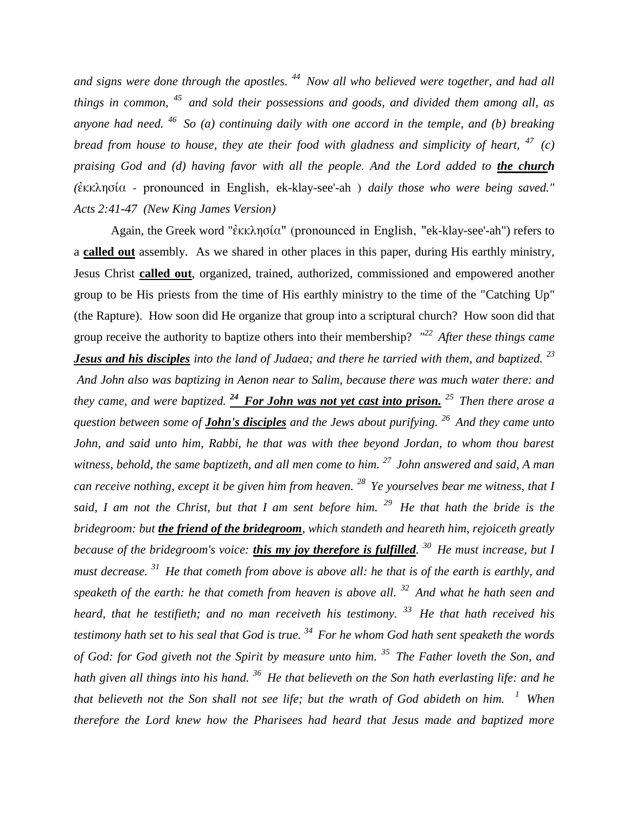*and signs were done through the apostles. <sup>44</sup>Now all who believed were together, and had all things in common, <sup>45</sup> and sold their possessions and goods, and divided them among all, as anyone had need. <sup>46</sup>So (a) continuing daily with one accord in the temple, and (b) breaking bread from house to house, they ate their food with gladness and simplicity of heart, <sup>47</sup> (c) praising God and (d) having favor with all the people. And the Lord added to the church (*ἐκκλησία - pronounced in English, ek-klay-see'-ah ) *daily those who were being saved." Acts 2:41-47 (New King James Version)* 

Again, the Greek word "ἐκκλησία" (pronounced in English, "ek-klay-see'-ah") refers to a **called out** assembly. As we shared in other places in this paper, during His earthly ministry, Jesus Christ **called out**, organized, trained, authorized, commissioned and empowered another group to be His priests from the time of His earthly ministry to the time of the "Catching Up" (the Rapture). How soon did He organize that group into a scriptural church? How soon did that group receive the authority to baptize others into their membership? *" <sup>22</sup>After these things came Jesus and his disciples into the land of Judaea; and there he tarried with them, and baptized. <sup>23</sup> And John also was baptizing in Aenon near to Salim, because there was much water there: and they came, and were baptized. <sup>24</sup>For John was not yet cast into prison. <sup>25</sup>Then there arose a question between some of John's disciples and the Jews about purifying. <sup>26</sup>And they came unto John, and said unto him, Rabbi, he that was with thee beyond Jordan, to whom thou barest witness, behold, the same baptizeth, and all men come to him. <sup>27</sup>John answered and said, A man can receive nothing, except it be given him from heaven. <sup>28</sup>Ye yourselves bear me witness, that I said, I am not the Christ, but that I am sent before him. <sup>29</sup>He that hath the bride is the bridegroom: but the friend of the bridegroom, which standeth and heareth him, rejoiceth greatly because of the bridegroom's voice: this my joy therefore is fulfilled. <sup>30</sup>He must increase, but I must decrease. <sup>31</sup>He that cometh from above is above all: he that is of the earth is earthly, and speaketh of the earth: he that cometh from heaven is above all. <sup>32</sup>And what he hath seen and heard, that he testifieth; and no man receiveth his testimony. <sup>33</sup>He that hath received his testimony hath set to his seal that God is true. <sup>34</sup>For he whom God hath sent speaketh the words of God: for God giveth not the Spirit by measure unto him. <sup>35</sup>The Father loveth the Son, and hath given all things into his hand. <sup>36</sup>He that believeth on the Son hath everlasting life: and he that believeth not the Son shall not see life; but the wrath of God abideth on him. <sup>1</sup>When therefore the Lord knew how the Pharisees had heard that Jesus made and baptized more*